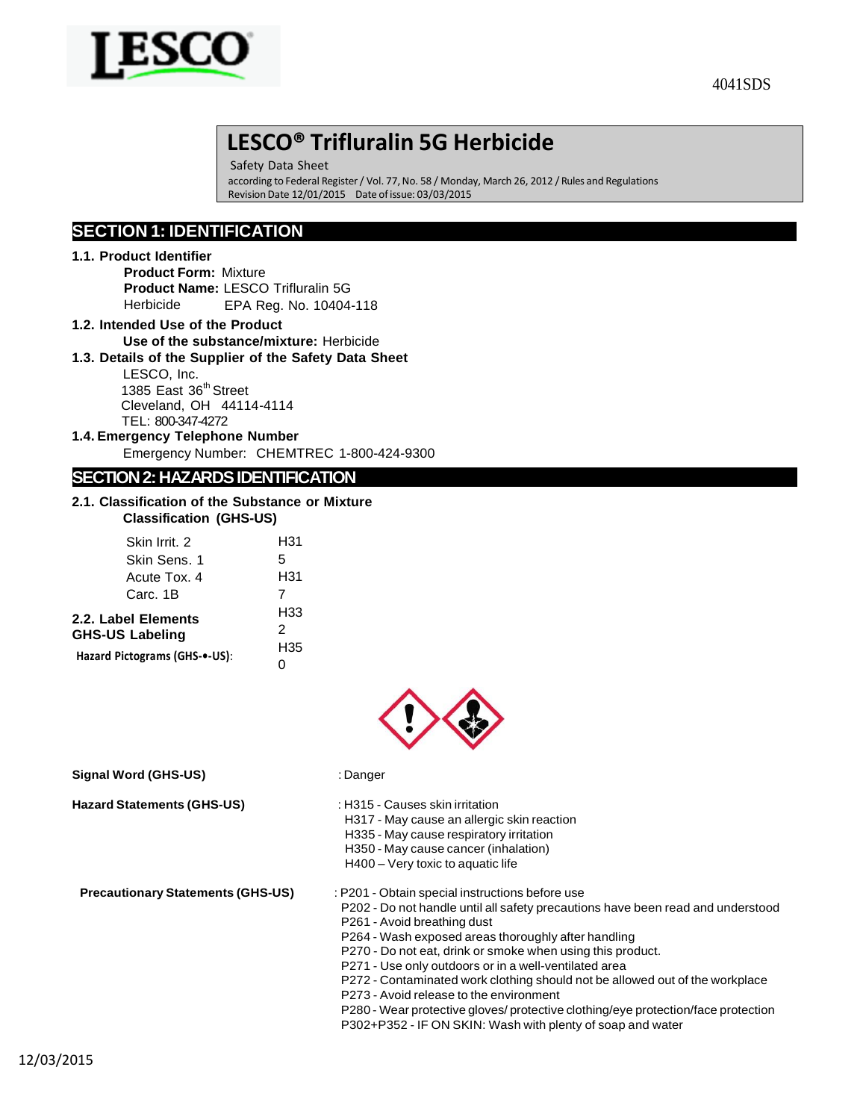

Safety Data Sheet according to Federal Register / Vol. 77, No. 58 / Monday, March 26, 2012 / Rules and Regulations RevisionDate 12/01/2015 Date ofissue: 03/03/2015

# **SECTION 1: IDENTIFICATION**

## **1.1. Product Identifier**

**Product Form:** Mixture **Product Name:** LESCO Trifluralin 5G Herbicide EPA Reg. No. 10404-118

**1.2. Intended Use of the Product Use of the substance/mixture:** Herbicide

### **1.3. Details of the Supplier of the Safety Data Sheet**

LESCO, Inc. 1385 East 36<sup>th</sup> Street Cleveland, OH 44114-4114 TEL: 800-347-4272

**1.4. Emergency Telephone Number**

Emergency Number: CHEMTREC 1-800-424-9300

# **SECTION 2: HAZARDS IDENTIFICATION**

### **2.1. Classification of the Substance or Mixture Classification (GHS-US)**

| Skin Irrit. 2                                 | H31             |
|-----------------------------------------------|-----------------|
| Skin Sens. 1                                  | 5               |
| Acute Tox, 4                                  | H31             |
| Carc. 1B                                      | 7               |
| 2.2. Label Elements<br><b>GHS-US Labeling</b> | H33<br>2<br>H35 |
| Hazard Pictograms (GHS-•-US):                 |                 |



**Signal Word (GHS-US)** : Danger

**Hazard Statements (GHS-US)** : H315 - Causes skin irritation

- 
- H317 May cause an allergic skin reaction
- H335 May cause respiratory irritation
- H350 May cause cancer (inhalation)
- H400 Very toxic to aquatic life

- **Precautionary Statements (GHS-US)** : P201 Obtain special instructions before use
	- P202 Do not handle until all safety precautions have been read and understood P261 - Avoid breathing dust
	- P264 Wash exposed areas thoroughly after handling
	- P270 Do not eat, drink or smoke when using this product.
	- P271 Use only outdoors or in a well-ventilated area
	- P272 Contaminated work clothing should not be allowed out of the workplace
	- P273 Avoid release to the environment
	- P280 Wear protective gloves/ protective clothing/eye protection/face protection
	- P302+P352 IF ON SKIN: Wash with plenty of soap and water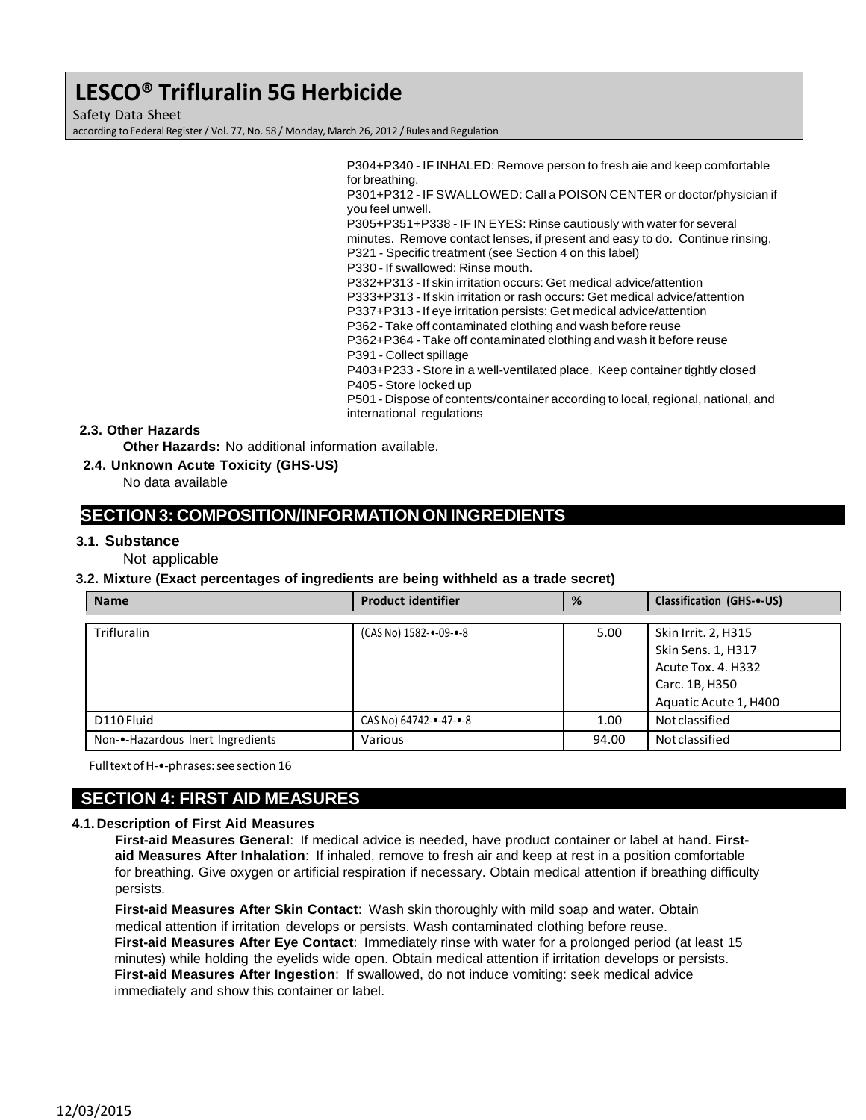Safety Data Sheet

according to Federal Register/ Vol. 77, No. 58 / Monday, March 26, 2012 / Rules and Regulation

P304+P340 - IF INHALED: Remove person to fresh aie and keep comfortable for breathing.

P301+P312 - IF SWALLOWED: Call a POISON CENTER or doctor/physician if you feel unwell.

P305+P351+P338 - IF IN EYES: Rinse cautiously with water for several minutes. Remove contact lenses, if present and easy to do. Continue rinsing. P321 - Specific treatment (see Section 4 on this label)

P330 - If swallowed: Rinse mouth.

P332+P313 - If skin irritation occurs: Get medical advice/attention

P333+P313 - If skin irritation or rash occurs: Get medical advice/attention

- P337+P313 If eye irritation persists: Get medical advice/attention
- P362 Take off contaminated clothing and wash before reuse

P362+P364 - Take off contaminated clothing and wash it before reuse P391 - Collect spillage

P403+P233 - Store in a well-ventilated place. Keep container tightly closed P405 - Store locked up

P501 - Dispose of contents/container according to local, regional, national, and international regulations

# **2.3. Other Hazards**

**Other Hazards:** No additional information available.

**2.4. Unknown Acute Toxicity (GHS-US)**

No data available

# **SECTION 3: COMPOSITION/INFORMATION ON INGREDIENTS**

## **3.1. Substance**

Not applicable

## **3.2. Mixture (Exact percentages of ingredients are being withheld as a trade secret)**

| <b>Name</b>                       | <b>Product identifier</b> | %     | <b>Classification (GHS-+-US)</b>                                                  |
|-----------------------------------|---------------------------|-------|-----------------------------------------------------------------------------------|
| <b>Trifluralin</b>                | (CAS No) 1582-•-09-•-8    | 5.00  | Skin Irrit. 2, H315<br>Skin Sens. 1, H317<br>Acute Tox. 4. H332<br>Carc. 1B, H350 |
|                                   |                           |       | Aquatic Acute 1, H400                                                             |
| D110 Fluid                        | CAS No) 64742-•-47-•-8    | 1.00  | <b>Not classified</b>                                                             |
| Non-•-Hazardous Inert Ingredients | Various                   | 94.00 | <b>Not classified</b>                                                             |

FulltextofH-•‐phrases:seesection 16

# **SECTION 4: FIRST AID MEASURES**

## **4.1. Description of First Aid Measures**

**First-aid Measures General**: If medical advice is needed, have product container or label at hand. **Firstaid Measures After Inhalation**: If inhaled, remove to fresh air and keep at rest in a position comfortable for breathing. Give oxygen or artificial respiration if necessary. Obtain medical attention if breathing difficulty persists.

**First-aid Measures After Skin Contact**: Wash skin thoroughly with mild soap and water. Obtain medical attention if irritation develops or persists. Wash contaminated clothing before reuse. **First-aid Measures After Eye Contact**: Immediately rinse with water for a prolonged period (at least 15 minutes) while holding the eyelids wide open. Obtain medical attention if irritation develops or persists. **First-aid Measures After Ingestion**: If swallowed, do not induce vomiting: seek medical advice immediately and show this container or label.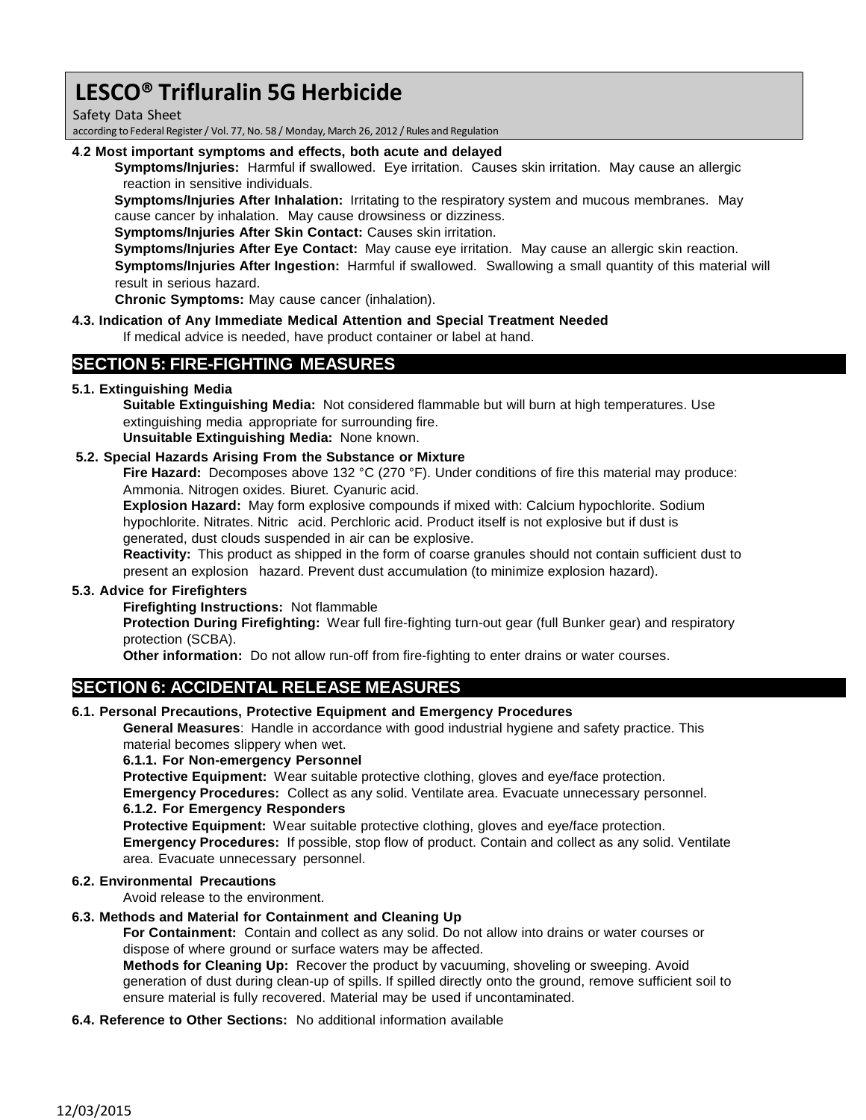Safety Data Sheet

according to Federal Register/ Vol. 77, No. 58 / Monday, March 26, 2012 / Rules and Regulation

### **4**.**2 Most important symptoms and effects, both acute and delayed**

**Symptoms/Injuries:** Harmful if swallowed. Eye irritation. Causes skin irritation. May cause an allergic reaction in sensitive individuals.

**Symptoms/Injuries After Inhalation:** Irritating to the respiratory system and mucous membranes. May cause cancer by inhalation. May cause drowsiness or dizziness.

**Symptoms/Injuries After Skin Contact:** Causes skin irritation.

**Symptoms/Injuries After Eye Contact:** May cause eye irritation. May cause an allergic skin reaction.

**Symptoms/Injuries After Ingestion:** Harmful if swallowed. Swallowing a small quantity of this material will result in serious hazard.

**Chronic Symptoms:** May cause cancer (inhalation).

### **4.3. Indication of Any Immediate Medical Attention and Special Treatment Needed**

If medical advice is needed, have product container or label at hand.

# **SECTION 5: FIRE-FIGHTING MEASURES**

## **5.1. Extinguishing Media**

**Suitable Extinguishing Media:** Not considered flammable but will burn at high temperatures. Use extinguishing media appropriate for surrounding fire.

**Unsuitable Extinguishing Media:** None known.

## **5.2. Special Hazards Arising From the Substance or Mixture**

**Fire Hazard:** Decomposes above 132 °C (270 °F). Under conditions of fire this material may produce: Ammonia. Nitrogen oxides. Biuret. Cyanuric acid.

**Explosion Hazard:** May form explosive compounds if mixed with: Calcium hypochlorite. Sodium hypochlorite. Nitrates. Nitric acid. Perchloric acid. Product itself is not explosive but if dust is generated, dust clouds suspended in air can be explosive.

**Reactivity:** This product as shipped in the form of coarse granules should not contain sufficient dust to present an explosion hazard. Prevent dust accumulation (to minimize explosion hazard).

## **5.3. Advice for Firefighters**

## **Firefighting Instructions:** Not flammable

**Protection During Firefighting:** Wear full fire-fighting turn-out gear (full Bunker gear) and respiratory protection (SCBA).

**Other information:** Do not allow run-off from fire-fighting to enter drains or water courses.

# **SECTION 6: ACCIDENTAL RELEASE MEASURES**

#### **6.1. Personal Precautions, Protective Equipment and Emergency Procedures**

**General Measures**: Handle in accordance with good industrial hygiene and safety practice. This material becomes slippery when wet.

**6.1.1. For Non-emergency Personnel**

**Protective Equipment:** Wear suitable protective clothing, gloves and eye/face protection.

**Emergency Procedures:** Collect as any solid. Ventilate area. Evacuate unnecessary personnel. **6.1.2. For Emergency Responders**

**Protective Equipment:** Wear suitable protective clothing, gloves and eye/face protection.

**Emergency Procedures:** If possible, stop flow of product. Contain and collect as any solid. Ventilate area. Evacuate unnecessary personnel.

#### **6.2. Environmental Precautions**

Avoid release to the environment.

## **6.3. Methods and Material for Containment and Cleaning Up**

**For Containment:** Contain and collect as any solid. Do not allow into drains or water courses or dispose of where ground or surface waters may be affected.

**Methods for Cleaning Up:** Recover the product by vacuuming, shoveling or sweeping. Avoid generation of dust during clean-up of spills. If spilled directly onto the ground, remove sufficient soil to ensure material is fully recovered. Material may be used if uncontaminated.

## **6.4. Reference to Other Sections:** No additional information available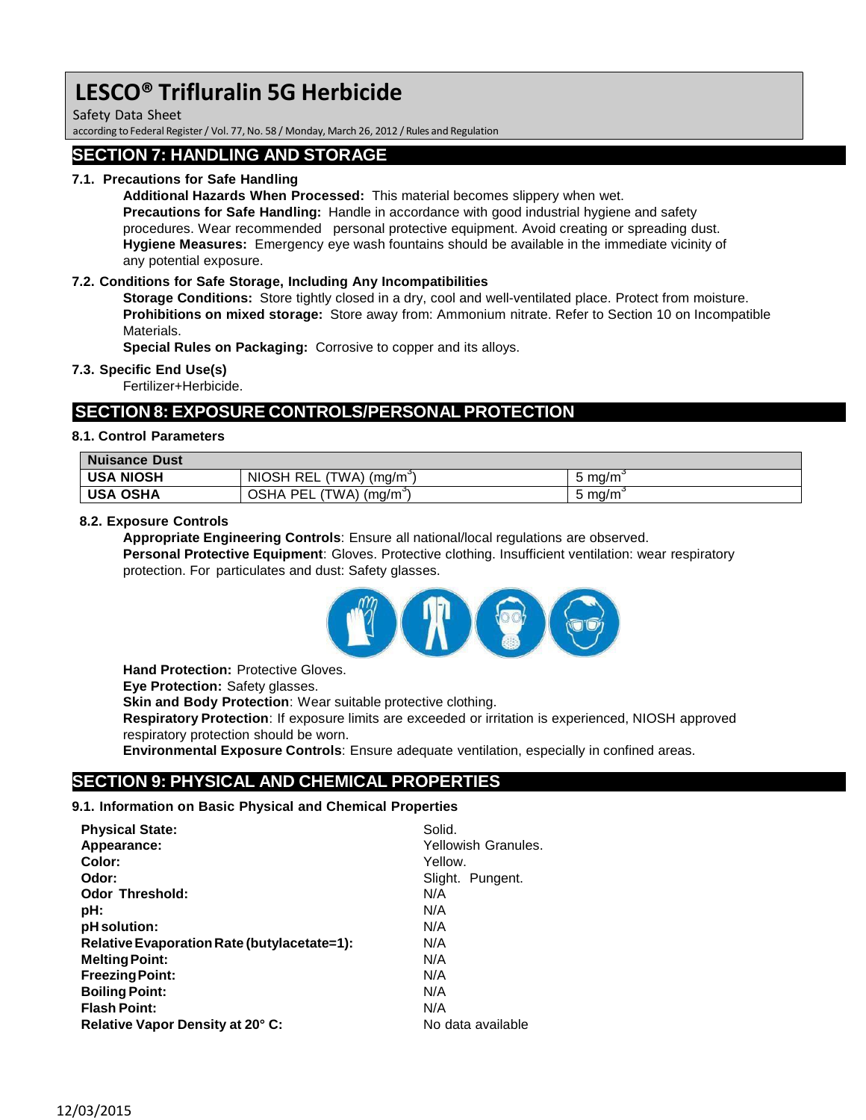Safety Data Sheet

according to Federal Register/ Vol. 77, No. 58 / Monday, March 26, 2012 / Rules and Regulation

# **SECTION 7: HANDLING AND STORAGE**

# **7.1. Precautions for Safe Handling**

**Additional Hazards When Processed:** This material becomes slippery when wet. **Precautions for Safe Handling:** Handle in accordance with good industrial hygiene and safety procedures. Wear recommended personal protective equipment. Avoid creating or spreading dust. **Hygiene Measures:** Emergency eye wash fountains should be available in the immediate vicinity of any potential exposure.

## **7.2. Conditions for Safe Storage, Including Any Incompatibilities**

**Storage Conditions:** Store tightly closed in a dry, cool and well-ventilated place. Protect from moisture. **Prohibitions on mixed storage:** Store away from: Ammonium nitrate. Refer to Section 10 on Incompatible Materials.

**Special Rules on Packaging:** Corrosive to copper and its alloys.

#### **7.3. Specific End Use(s)**

Fertilizer+Herbicide.

# **SECTION 8: EXPOSURE CONTROLS/PERSONAL PROTECTION**

### **8.1. Control Parameters**

| Nuisance Dust |                                     |                  |
|---------------|-------------------------------------|------------------|
| ∣ USA NIOSH   | NIOSH REL (TWA) (ma/m <sup>3</sup>  | $5 \text{ mg/m}$ |
| ∣ USA OSHA    | OSHA PEL (TWA) (mg/m <sup>3</sup> ) | $5 \text{ mg/m}$ |

### **8.2. Exposure Controls**

**Appropriate Engineering Controls**: Ensure all national/local regulations are observed. **Personal Protective Equipment**: Gloves. Protective clothing. Insufficient ventilation: wear respiratory protection. For particulates and dust: Safety glasses.



**Hand Protection:** Protective Gloves.

**Eye Protection:** Safety glasses.

**Skin and Body Protection**: Wear suitable protective clothing.

**Respiratory Protection**: If exposure limits are exceeded or irritation is experienced, NIOSH approved respiratory protection should be worn.

**Environmental Exposure Controls**: Ensure adequate ventilation, especially in confined areas.

# **SECTION 9: PHYSICAL AND CHEMICAL PROPERTIES**

#### **9.1. Information on Basic Physical and Chemical Properties**

| <b>Physical State:</b>                      | Solid.              |
|---------------------------------------------|---------------------|
| Appearance:                                 | Yellowish Granules. |
| Color:                                      | Yellow.             |
| Odor:                                       | Slight. Pungent.    |
| <b>Odor Threshold:</b>                      | N/A                 |
| pH:                                         | N/A                 |
| pH solution:                                | N/A                 |
| Relative Evaporation Rate (butylacetate=1): | N/A                 |
| <b>Melting Point:</b>                       | N/A                 |
| <b>Freezing Point:</b>                      | N/A                 |
| <b>Boiling Point:</b>                       | N/A                 |
| <b>Flash Point:</b>                         | N/A                 |
| Relative Vapor Density at 20° C:            | No data available   |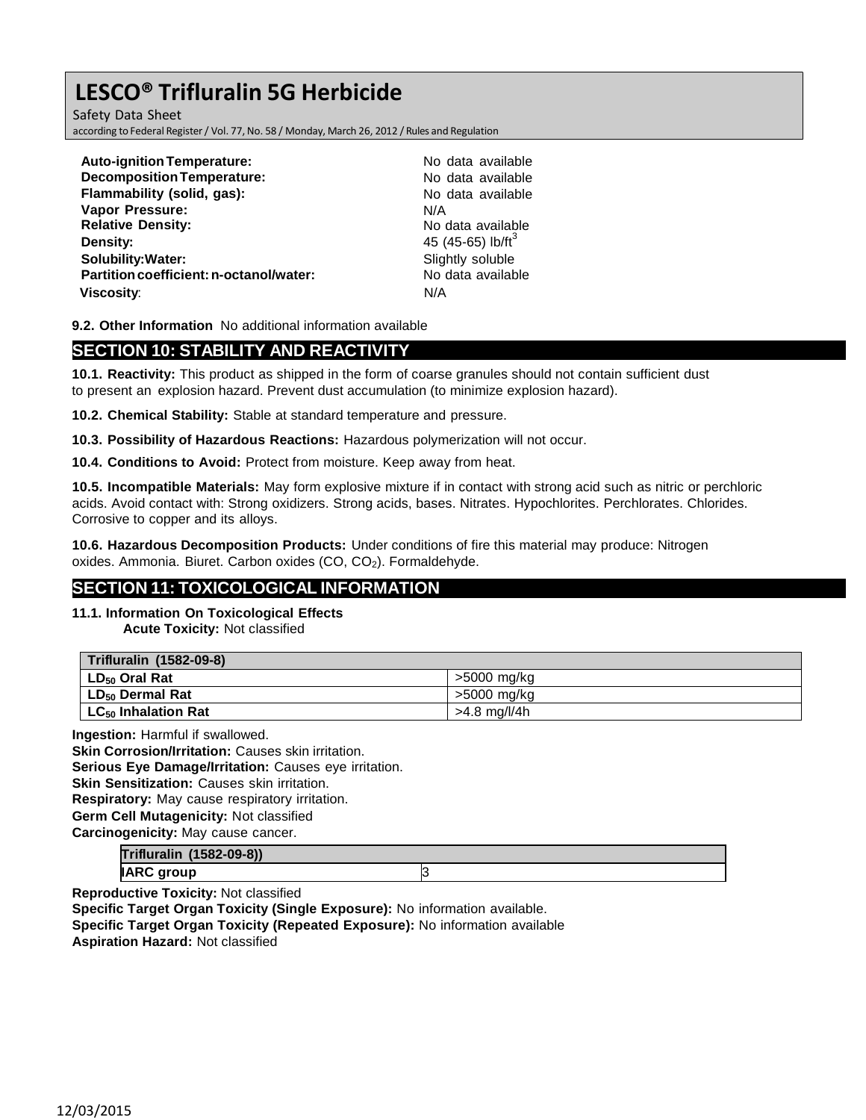Safety Data Sheet according to Federal Register/ Vol. 77, No. 58 / Monday, March 26, 2012 / Rules and Regulation

| <b>Auto-ignition Temperature:</b><br><b>Decomposition Temperature:</b> | No data available<br>No data available |
|------------------------------------------------------------------------|----------------------------------------|
| Flammability (solid, gas):                                             | No data available                      |
| <b>Vapor Pressure:</b>                                                 | N/A                                    |
| <b>Relative Density:</b>                                               | No data available                      |
| Density:                                                               | 45 (45-65) lb/ft <sup>3</sup>          |
| <b>Solubility: Water:</b>                                              | Slightly soluble                       |
| Partition coefficient: n-octanol/water:                                | No data available                      |
| <b>Viscosity:</b>                                                      | N/A                                    |

**9.2. Other Information** No additional information available

# **SECTION 10: STABILITY AND REACTIVITY**

**10.1. Reactivity:** This product as shipped in the form of coarse granules should not contain sufficient dust to present an explosion hazard. Prevent dust accumulation (to minimize explosion hazard).

**10.2. Chemical Stability:** Stable at standard temperature and pressure.

**10.3. Possibility of Hazardous Reactions:** Hazardous polymerization will not occur.

**10.4. Conditions to Avoid:** Protect from moisture. Keep away from heat.

**10.5. Incompatible Materials:** May form explosive mixture if in contact with strong acid such as nitric or perchloric acids. Avoid contact with: Strong oxidizers. Strong acids, bases. Nitrates. Hypochlorites. Perchlorates. Chlorides. Corrosive to copper and its alloys.

**10.6. Hazardous Decomposition Products:** Under conditions of fire this material may produce: Nitrogen oxides. Ammonia. Biuret. Carbon oxides (CO, CO<sub>2</sub>). Formaldehyde.

# **SECTION 11: TOXICOLOGICAL INFORMATION**

**11.1. Information On Toxicological Effects**

**Acute Toxicity:** Not classified

| Trifluralin (1582-09-8)         |                |
|---------------------------------|----------------|
| l LD <sub>50</sub> Oral Rat     | >5000 mg/kg    |
| LD <sub>50</sub> Dermal Rat     | >5000 mg/kg    |
| LC <sub>50</sub> Inhalation Rat | $>4.8$ mg/l/4h |

**Ingestion:** Harmful if swallowed.

**Skin Corrosion/Irritation:** Causes skin irritation. **Serious Eye Damage/Irritation:** Causes eye irritation. **Skin Sensitization:** Causes skin irritation. **Respiratory:** May cause respiratory irritation. **Germ Cell Mutagenicity:** Not classified **Carcinogenicity:** May cause cancer.

| Trifluralin (1582-09-8)) |  |
|--------------------------|--|
| <b>IARC group</b>        |  |

**Reproductive Toxicity:** Not classified

**Specific Target Organ Toxicity (Single Exposure):** No information available.

**Specific Target Organ Toxicity (Repeated Exposure):** No information available

**Aspiration Hazard:** Not classified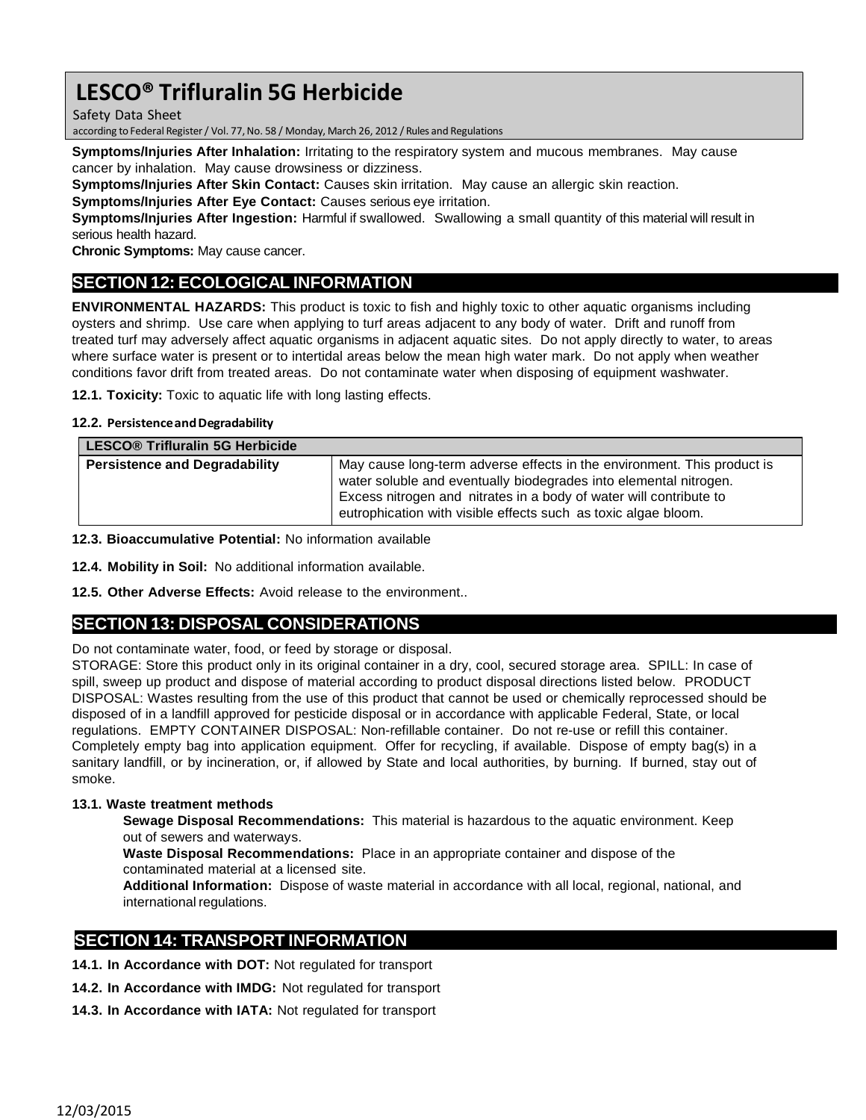Safety Data Sheet

according to Federal Register/ Vol. 77,No. 58 / Monday, March 26, 2012 / Rules and Regulations

**Symptoms/Injuries After Inhalation:** Irritating to the respiratory system and mucous membranes. May cause cancer by inhalation. May cause drowsiness or dizziness.

**Symptoms/Injuries After Skin Contact:** Causes skin irritation. May cause an allergic skin reaction.

**Symptoms/Injuries After Eye Contact:** Causes serious eye irritation.

**Symptoms/Injuries After Ingestion:** Harmful if swallowed. Swallowing a small quantity of this material will result in serious health hazard.

**Chronic Symptoms:** May cause cancer.

# **SECTION 12: ECOLOGICAL INFORMATION**

**ENVIRONMENTAL HAZARDS:** This product is toxic to fish and highly toxic to other aquatic organisms including oysters and shrimp. Use care when applying to turf areas adjacent to any body of water. Drift and runoff from treated turf may adversely affect aquatic organisms in adjacent aquatic sites. Do not apply directly to water, to areas where surface water is present or to intertidal areas below the mean high water mark. Do not apply when weather conditions favor drift from treated areas. Do not contaminate water when disposing of equipment washwater.

**12.1. Toxicity:** Toxic to aquatic life with long lasting effects.

### **12.2. PersistenceandDegradability**

| <b>LESCO® Trifluralin 5G Herbicide</b> |                                                                                                                                                                                                                                                                                      |
|----------------------------------------|--------------------------------------------------------------------------------------------------------------------------------------------------------------------------------------------------------------------------------------------------------------------------------------|
| <b>Persistence and Degradability</b>   | May cause long-term adverse effects in the environment. This product is<br>water soluble and eventually biodegrades into elemental nitrogen.<br>Excess nitrogen and nitrates in a body of water will contribute to<br>eutrophication with visible effects such as toxic algae bloom. |

**12.3. Bioaccumulative Potential:** No information available

**12.4. Mobility in Soil:** No additional information available.

**12.5. Other Adverse Effects:** Avoid release to the environment..

# **SECTION 13: DISPOSAL CONSIDERATIONS**

Do not contaminate water, food, or feed by storage or disposal.

STORAGE: Store this product only in its original container in a dry, cool, secured storage area. SPILL: In case of spill, sweep up product and dispose of material according to product disposal directions listed below. PRODUCT DISPOSAL: Wastes resulting from the use of this product that cannot be used or chemically reprocessed should be disposed of in a landfill approved for pesticide disposal or in accordance with applicable Federal, State, or local regulations. EMPTY CONTAINER DISPOSAL: Non-refillable container. Do not re-use or refill this container. Completely empty bag into application equipment. Offer for recycling, if available. Dispose of empty bag(s) in a sanitary landfill, or by incineration, or, if allowed by State and local authorities, by burning. If burned, stay out of smoke.

## **13.1. Waste treatment methods**

**Sewage Disposal Recommendations:** This material is hazardous to the aquatic environment. Keep out of sewers and waterways.

**Waste Disposal Recommendations:** Place in an appropriate container and dispose of the contaminated material at a licensed site.

**Additional Information:** Dispose of waste material in accordance with all local, regional, national, and international regulations.

# **SECTION 14: TRANSPORT INFORMATION**

**14.1. In Accordance with DOT:** Not regulated for transport

- **14.2. In Accordance with IMDG:** Not regulated for transport
- **14.3. In Accordance with IATA:** Not regulated for transport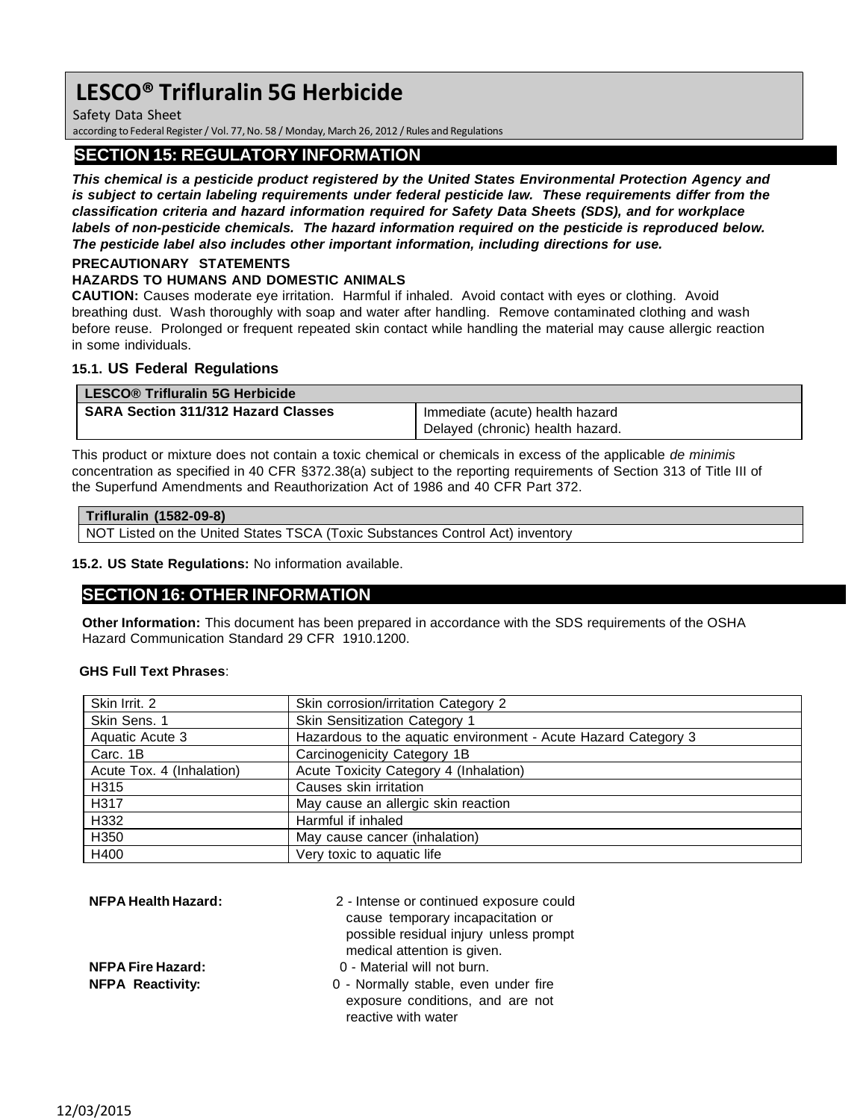Safety Data Sheet

according to Federal Register/ Vol. 77,No. 58 / Monday, March 26, 2012 / Rules and Regulations

# **SECTION 15: REGULATORY INFORMATION**

*This chemical is a pesticide product registered by the United States Environmental Protection Agency and is subject to certain labeling requirements under federal pesticide law. These requirements differ from the classification criteria and hazard information required for Safety Data Sheets (SDS), and for workplace labels of non-pesticide chemicals. The hazard information required on the pesticide is reproduced below. The pesticide label also includes other important information, including directions for use.*

#### **PRECAUTIONARY STATEMENTS HAZARDS TO HUMANS AND DOMESTIC ANIMALS**

**CAUTION:** Causes moderate eye irritation. Harmful if inhaled. Avoid contact with eyes or clothing. Avoid breathing dust. Wash thoroughly with soap and water after handling. Remove contaminated clothing and wash before reuse. Prolonged or frequent repeated skin contact while handling the material may cause allergic reaction in some individuals.

## **15.1. US Federal Regulations**

| LESCO® Trifluralin 5G Herbicide            |                                  |
|--------------------------------------------|----------------------------------|
| <b>SARA Section 311/312 Hazard Classes</b> | Immediate (acute) health hazard  |
|                                            | Delayed (chronic) health hazard. |

This product or mixture does not contain a toxic chemical or chemicals in excess of the applicable *de minimis* concentration as specified in 40 CFR §372.38(a) subject to the reporting requirements of Section 313 of Title III of the Superfund Amendments and Reauthorization Act of 1986 and 40 CFR Part 372.

| Trifluralin (1582-09-8)                                                       |  |  |
|-------------------------------------------------------------------------------|--|--|
| NOT Listed on the United States TSCA (Toxic Substances Control Act) inventory |  |  |

**15.2. US State Regulations:** No information available.

# **SECTION 16: OTHER INFORMATION**

**Other Information:** This document has been prepared in accordance with the SDS requirements of the OSHA Hazard Communication Standard 29 CFR 1910.1200.

## **GHS Full Text Phrases**:

| Skin Irrit. 2             | Skin corrosion/irritation Category 2                           |
|---------------------------|----------------------------------------------------------------|
| Skin Sens. 1              | Skin Sensitization Category 1                                  |
| Aquatic Acute 3           | Hazardous to the aquatic environment - Acute Hazard Category 3 |
| Carc. 1B                  | Carcinogenicity Category 1B                                    |
| Acute Tox. 4 (Inhalation) | Acute Toxicity Category 4 (Inhalation)                         |
| H315                      | Causes skin irritation                                         |
| H317                      | May cause an allergic skin reaction                            |
| H332                      | Harmful if inhaled                                             |
| H350                      | May cause cancer (inhalation)                                  |
| H400                      | Very toxic to aquatic life                                     |

| <b>NFPA Health Hazard:</b> | 2 - Intense or continued exposure could<br>cause temporary incapacitation or<br>possible residual injury unless prompt<br>medical attention is given. |
|----------------------------|-------------------------------------------------------------------------------------------------------------------------------------------------------|
| <b>NFPA Fire Hazard:</b>   | 0 - Material will not burn.                                                                                                                           |
| <b>NFPA Reactivity:</b>    | 0 - Normally stable, even under fire<br>exposure conditions, and are not<br>reactive with water                                                       |